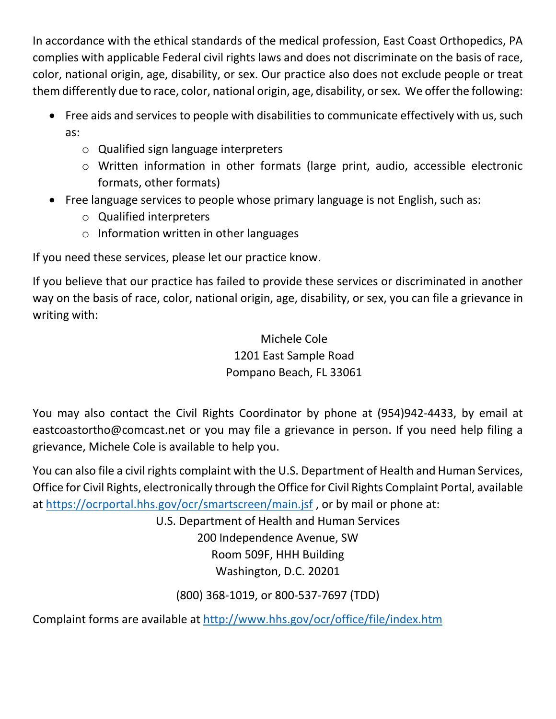In accordance with the ethical standards of the medical profession, East Coast Orthopedics, PA complies with applicable Federal civil rights laws and does not discriminate on the basis of race, color, national origin, age, disability, or sex. Our practice also does not exclude people or treat them differently due to race, color, national origin, age, disability, or sex. We offer the following:

- Free aids and services to people with disabilities to communicate effectively with us, such as:
	- o Qualified sign language interpreters
	- o Written information in other formats (large print, audio, accessible electronic formats, other formats)
- Free language services to people whose primary language is not English, such as:
	- o Qualified interpreters
	- o Information written in other languages

If you need these services, please let our practice know.

If you believe that our practice has failed to provide these services or discriminated in another way on the basis of race, color, national origin, age, disability, or sex, you can file a grievance in writing with:

> Michele Cole 1201 East Sample Road Pompano Beach, FL 33061

You may also contact the Civil Rights Coordinator by phone at (954)942-4433, by email at eastcoastortho@comcast.net or you may file a grievance in person. If you need help filing a grievance, Michele Cole is available to help you.

You can also file a civil rights complaint with the U.S. Department of Health and Human Services, Office for Civil Rights, electronically through the Office for Civil Rights Complaint Portal, available at <https://ocrportal.hhs.gov/ocr/smartscreen/main.jsf> , or by mail or phone at:

U.S. Department of Health and Human Services

200 Independence Avenue, SW Room 509F, HHH Building Washington, D.C. 20201

(800) 368-1019, or 800-537-7697 (TDD)

Complaint forms are available at<http://www.hhs.gov/ocr/office/file/index.htm>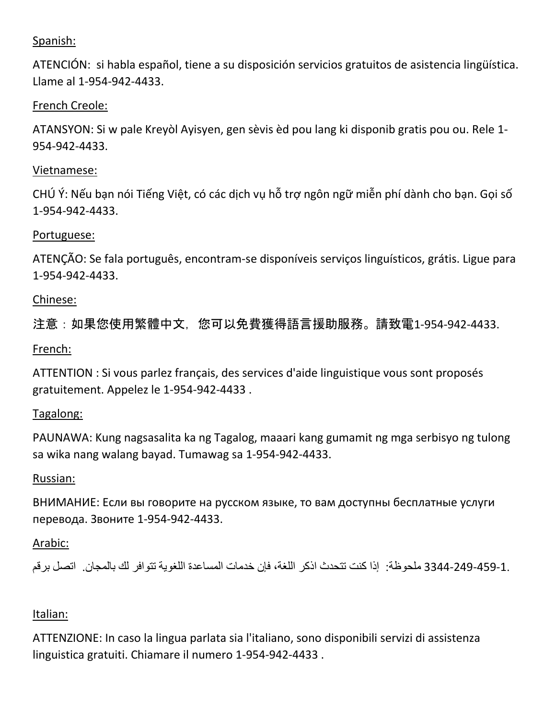# Spanish:

ATENCIÓN: si habla español, tiene a su disposición servicios gratuitos de asistencia lingüística. Llame al 1-954-942-4433.

# French Creole:

ATANSYON: Si w pale Kreyòl Ayisyen, gen sèvis èd pou lang ki disponib gratis pou ou. Rele 1- 954-942-4433.

# Vietnamese:

CHÚ Ý: Nếu bạn nói Tiếng Việt, có các dịch vụ hỗ trợ ngôn ngữ miễn phí dành cho bạn. Gọi số 1-954-942-4433.

## Portuguese:

ATENÇÃO: Se fala português, encontram-se disponíveis serviços linguísticos, grátis. Ligue para 1-954-942-4433.

# Chinese:

注意:如果您使用繁體中文,您可以免費獲得語言援助服務。請致電1-954-942-4433.

# French:

ATTENTION : Si vous parlez français, des services d'aide linguistique vous sont proposés gratuitement. Appelez le 1-954-942-4433 .

## Tagalong:

PAUNAWA: Kung nagsasalita ka ng Tagalog, maaari kang gumamit ng mga serbisyo ng tulong sa wika nang walang bayad. Tumawag sa 1-954-942-4433.

## Russian:

ВНИМАНИЕ: Если вы говорите на русском языке, то вам доступны бесплатные услуги перевода. Звоните 1-954-942-4433.

# Arabic:

3344-249-459-1. ملحوظة: إذا كنت تتحدث اذكر اللغة، فإن خدمات المساعدة اللغوية تتوافر لك بالمجان. اتصل برقم

## Italian:

ATTENZIONE: In caso la lingua parlata sia l'italiano, sono disponibili servizi di assistenza linguistica gratuiti. Chiamare il numero 1-954-942-4433 .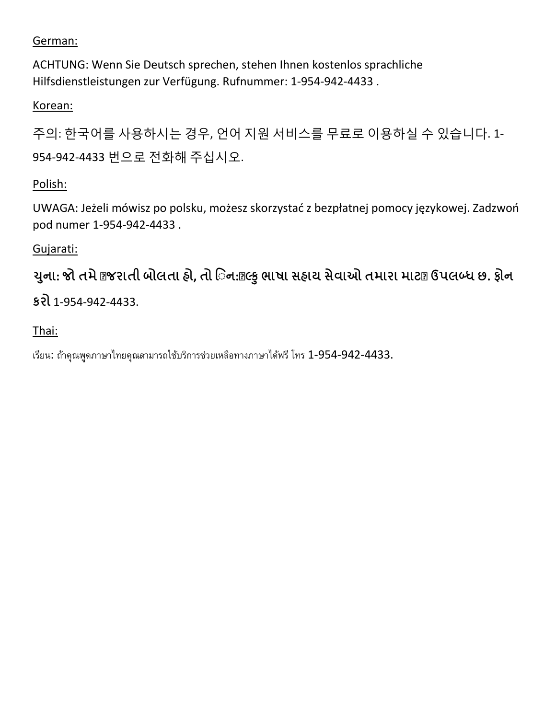# German:

ACHTUNG: Wenn Sie Deutsch sprechen, stehen Ihnen kostenlos sprachliche Hilfsdienstleistungen zur Verfügung. Rufnummer: 1-954-942-4433 .

Korean:

주의: 한국어를 사용하시는 경우, 언어 지원 서비스를 무료로 이용하실 수 있습니다. 1- 954-942-4433 번으로 전화해 주십시오.

# Polish:

UWAGA: Jeżeli mówisz po polsku, możesz skorzystać z bezpłatnej pomocy językowej. Zadzwoń pod numer 1-954-942-4433 .

# Gujarati:

યુના: જો તમે @જરાતી બોલતા હો, તો િન:@લ્કુ ભાષા સહાય સેવાઓ તમારા માટ@ ઉપલબ્ધ છ. ફોન **કરો** 1-954-942-4433.

# Thai:

เรียน: ถ้าคุณพูดภาษาไทยคุณสามารถใช้บริการช่วยเหลือทางภาษาได้ฟรีโทร 1-954-942-4433.